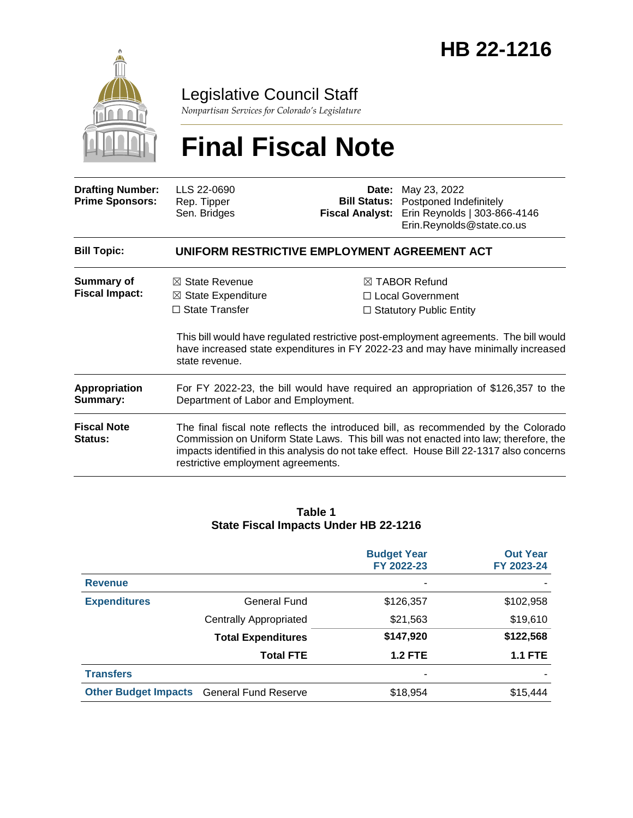

### Legislative Council Staff

*Nonpartisan Services for Colorado's Legislature*

# **Final Fiscal Note**

| <b>Drafting Number:</b><br><b>Prime Sponsors:</b> | LLS 22-0690<br>Rep. Tipper<br>Sen. Bridges                                                                                                                                                                                                                                                                   |  | <b>Date:</b> May 23, 2022<br><b>Bill Status:</b> Postponed Indefinitely<br>Fiscal Analyst: Erin Reynolds   303-866-4146<br>Erin.Reynolds@state.co.us                                                                                                               |  |  |
|---------------------------------------------------|--------------------------------------------------------------------------------------------------------------------------------------------------------------------------------------------------------------------------------------------------------------------------------------------------------------|--|--------------------------------------------------------------------------------------------------------------------------------------------------------------------------------------------------------------------------------------------------------------------|--|--|
| <b>Bill Topic:</b>                                | UNIFORM RESTRICTIVE EMPLOYMENT AGREEMENT ACT                                                                                                                                                                                                                                                                 |  |                                                                                                                                                                                                                                                                    |  |  |
| <b>Summary of</b><br><b>Fiscal Impact:</b>        | $\boxtimes$ State Revenue<br>$\boxtimes$ State Expenditure<br>$\Box$ State Transfer<br>state revenue.                                                                                                                                                                                                        |  | $\boxtimes$ TABOR Refund<br>$\Box$ Local Government<br>$\Box$ Statutory Public Entity<br>This bill would have regulated restrictive post-employment agreements. The bill would<br>have increased state expenditures in FY 2022-23 and may have minimally increased |  |  |
| Appropriation<br>Summary:                         | For FY 2022-23, the bill would have required an appropriation of \$126,357 to the<br>Department of Labor and Employment.                                                                                                                                                                                     |  |                                                                                                                                                                                                                                                                    |  |  |
| <b>Fiscal Note</b><br><b>Status:</b>              | The final fiscal note reflects the introduced bill, as recommended by the Colorado<br>Commission on Uniform State Laws. This bill was not enacted into law; therefore, the<br>impacts identified in this analysis do not take effect. House Bill 22-1317 also concerns<br>restrictive employment agreements. |  |                                                                                                                                                                                                                                                                    |  |  |

#### **Table 1 State Fiscal Impacts Under HB 22-1216**

|                                                  |                               | <b>Budget Year</b><br>FY 2022-23 | <b>Out Year</b><br>FY 2023-24 |
|--------------------------------------------------|-------------------------------|----------------------------------|-------------------------------|
| <b>Revenue</b>                                   |                               |                                  |                               |
| <b>Expenditures</b>                              | General Fund                  | \$126,357                        | \$102,958                     |
|                                                  | <b>Centrally Appropriated</b> | \$21,563                         | \$19,610                      |
|                                                  | <b>Total Expenditures</b>     | \$147,920                        | \$122,568                     |
|                                                  | <b>Total FTE</b>              | <b>1.2 FTE</b>                   | <b>1.1 FTE</b>                |
| <b>Transfers</b>                                 |                               | ٠                                |                               |
| <b>Other Budget Impacts</b> General Fund Reserve |                               | \$18,954                         | \$15,444                      |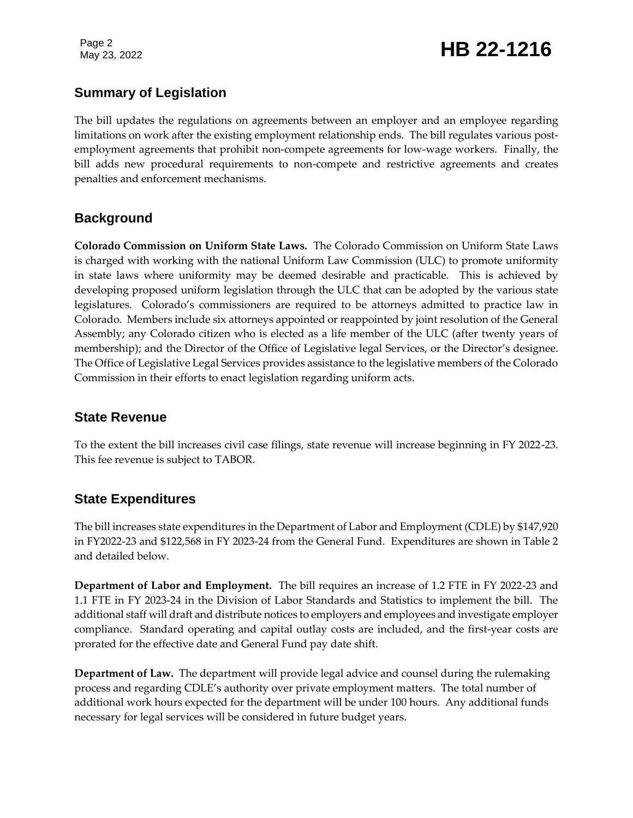Page 2

# Page 2<br>May 23, 2022 **HB 22-1216**

#### **Summary of Legislation**

The bill updates the regulations on agreements between an employer and an employee regarding limitations on work after the existing employment relationship ends. The bill regulates various postemployment agreements that prohibit non-compete agreements for low-wage workers. Finally, the bill adds new procedural requirements to non-compete and restrictive agreements and creates penalties and enforcement mechanisms.

#### **Background**

**Colorado Commission on Uniform State Laws.** The Colorado Commission on Uniform State Laws is charged with working with the national Uniform Law Commission (ULC) to promote uniformity in state laws where uniformity may be deemed desirable and practicable. This is achieved by developing proposed uniform legislation through the ULC that can be adopted by the various state legislatures. Colorado's commissioners are required to be attorneys admitted to practice law in Colorado. Members include six attorneys appointed or reappointed by joint resolution of the General Assembly; any Colorado citizen who is elected as a life member of the ULC (after twenty years of membership); and the Director of the Office of Legislative legal Services, or the Director's designee. The Office of Legislative Legal Services provides assistance to the legislative members of the Colorado Commission in their efforts to enact legislation regarding uniform acts.

#### **State Revenue**

To the extent the bill increases civil case filings, state revenue will increase beginning in FY 2022-23. This fee revenue is subject to TABOR.

#### **State Expenditures**

The bill increases state expenditures in the Department of Labor and Employment (CDLE) by \$147,920 in FY2022-23 and \$122,568 in FY 2023-24 from the General Fund. Expenditures are shown in Table 2 and detailed below.

**Department of Labor and Employment.** The bill requires an increase of 1.2 FTE in FY 2022-23 and 1.1 FTE in FY 2023-24 in the Division of Labor Standards and Statistics to implement the bill. The additional staff will draft and distribute notices to employers and employees and investigate employer compliance. Standard operating and capital outlay costs are included, and the first-year costs are prorated for the effective date and General Fund pay date shift.

**Department of Law.** The department will provide legal advice and counsel during the rulemaking process and regarding CDLE's authority over private employment matters. The total number of additional work hours expected for the department will be under 100 hours. Any additional funds necessary for legal services will be considered in future budget years.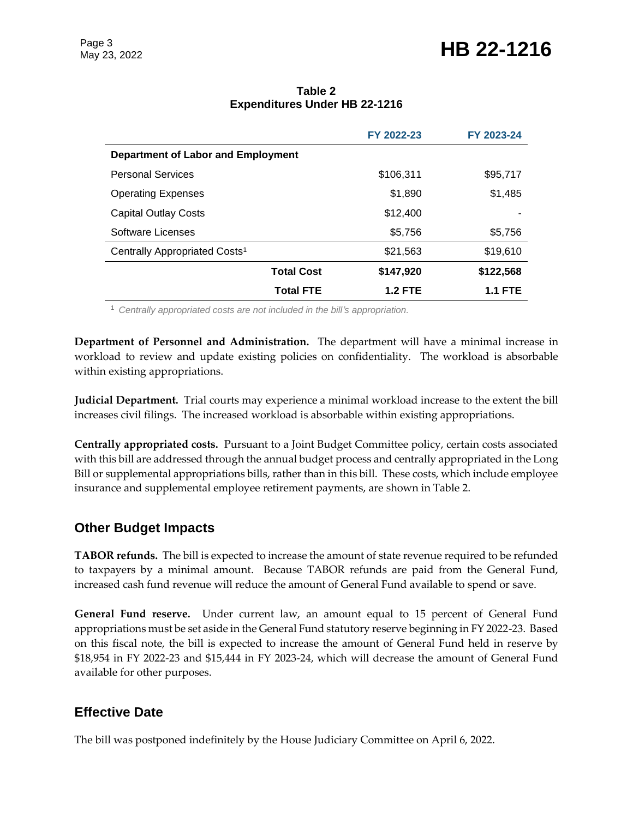## Page 3<br>May 23, 2022 **HB 22-1216**

|                                           | FY 2022-23     | FY 2023-24     |  |  |  |
|-------------------------------------------|----------------|----------------|--|--|--|
| Department of Labor and Employment        |                |                |  |  |  |
| <b>Personal Services</b>                  | \$106,311      | \$95,717       |  |  |  |
| <b>Operating Expenses</b>                 | \$1,890        | \$1,485        |  |  |  |
| <b>Capital Outlay Costs</b>               | \$12,400       |                |  |  |  |
| Software Licenses                         | \$5,756        | \$5,756        |  |  |  |
| Centrally Appropriated Costs <sup>1</sup> | \$21,563       | \$19,610       |  |  |  |
| <b>Total Cost</b>                         | \$147,920      | \$122,568      |  |  |  |
| <b>Total FTE</b>                          | <b>1.2 FTE</b> | <b>1.1 FTE</b> |  |  |  |

#### **Table 2 Expenditures Under HB 22-1216**

<sup>1</sup> *Centrally appropriated costs are not included in the bill's appropriation.*

**Department of Personnel and Administration.** The department will have a minimal increase in workload to review and update existing policies on confidentiality. The workload is absorbable within existing appropriations.

**Judicial Department.** Trial courts may experience a minimal workload increase to the extent the bill increases civil filings. The increased workload is absorbable within existing appropriations.

**Centrally appropriated costs.** Pursuant to a Joint Budget Committee policy, certain costs associated with this bill are addressed through the annual budget process and centrally appropriated in the Long Bill or supplemental appropriations bills, rather than in this bill. These costs, which include employee insurance and supplemental employee retirement payments, are shown in Table 2.

#### **Other Budget Impacts**

**TABOR refunds.** The bill is expected to increase the amount of state revenue required to be refunded to taxpayers by a minimal amount. Because TABOR refunds are paid from the General Fund, increased cash fund revenue will reduce the amount of General Fund available to spend or save.

**General Fund reserve.** Under current law, an amount equal to 15 percent of General Fund appropriations must be set aside in the General Fund statutory reserve beginning in FY 2022-23. Based on this fiscal note, the bill is expected to increase the amount of General Fund held in reserve by \$18,954 in FY 2022-23 and \$15,444 in FY 2023-24, which will decrease the amount of General Fund available for other purposes.

#### **Effective Date**

The bill was postponed indefinitely by the House Judiciary Committee on April 6, 2022.